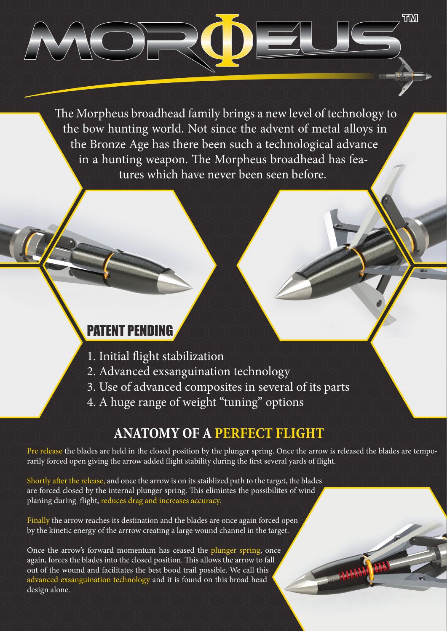The Morpheus broadhead family brings a new level of technology to the bow hunting world. Not since the advent of metal alloys in the Bronze Age has there been such a technological advance in a hunting weapon. The Morpheus broadhead has features which have never been seen before.

**TM**

## PATENT PE

- 1. Initial flight stabilization
- 2. Advanced exsanguination technology
- 3. Use of advanced composites in several of its parts
- 4. A huge range of weight "tuning" options

## **ANATOMY OF A PERFECT FLIGHT**

Pre release the blades are held in the closed position by the plunger spring. Once the arrow is released the blades are temporarily forced open giving the arrow added flight stability during the first several yards of flight.

Shortly after the release, and once the arrow is on its staiblized path to the target, the blades are forced closed by the internal plunger spring. This elimintes the possibilites of wind planing during flight, reduces drag and increases accuracy.

Finally the arrow reaches its destination and the blades are once again forced open by the kinetic energy of the arrrow creating a large wound channel in the target.

Once the arrow's forward momentum has ceased the plunger spring, once again, forces the blades into the closed position. This allows the arrow to fall out of the wound and facilitates the best bood trail possible. We call this advanced exsanguination technology and it is found on this broad head design alone.